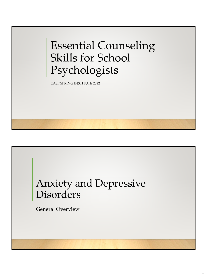Essential Counseling Skills for School Psychologists

CASP SPRING INSTITUTE 2022

# Anxiety and Depressive Disorders

General Overview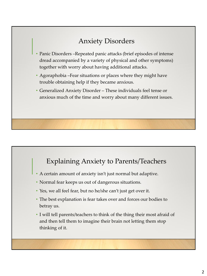## Anxiety Disorders

- Panic Disorders –Repeated panic attacks (brief episodes of intense dread accompanied by a variety of physical and other symptoms) together with worry about having additional attacks.
- Agoraphobia –Fear situations or places where they might have trouble obtaining help if they became anxious.
- Generalized Anxiety Disorder These individuals feel tense or anxious much of the time and worry about many different issues.

## Explaining Anxiety to Parents/Teachers

- A certain amount of anxiety isn't just normal but adaptive.
- Normal fear keeps us out of dangerous situations.
- Yes, we all feel fear, but no he/she can't just get over it.
- The best explanation is fear takes over and forces our bodies to betray us.
- I will tell parents/teachers to think of the thing their most afraid of and then tell them to imagine their brain not letting them stop thinking of it.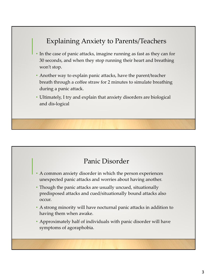## Explaining Anxiety to Parents/Teachers

- In the case of panic attacks, imagine running as fast as they can for 30 seconds, and when they stop running their heart and breathing won't stop.
- Another way to explain panic attacks, have the parent/teacher breath through a coffee straw for 2 minutes to simulate breathing during a panic attack.
- Ultimately, I try and explain that anxiety disorders are biological and dis-logical

#### Panic Disorder

- A common anxiety disorder in which the person experiences unexpected panic attacks and worries about having another.
- Though the panic attacks are usually uncued, situationally predisposed attacks and cued/situationally bound attacks also occur.
- A strong minority will have nocturnal panic attacks in addition to having them when awake.
- Approximately half of individuals with panic disorder will have symptoms of agoraphobia.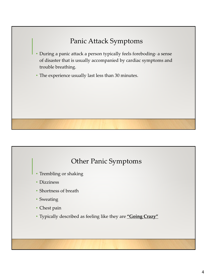# Panic Attack Symptoms

- During a panic attack a person typically feels foreboding- a sense of disaster that is usually accompanied by cardiac symptoms and trouble breathing.
- The experience usually last less than 30 minutes.

## Other Panic Symptoms

- Trembling or shaking
- Dizziness
- Shortness of breath
- Sweating
- Chest pain
- Typically described as feeling like they are **"Going Crazy"**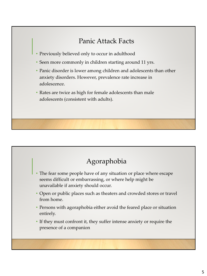## Panic Attack Facts

- Previously believed only to occur in adulthood
- Seen more commonly in children starting around 11 yrs.
- Panic disorder is lower among children and adolescents than other anxiety disorders. However, prevalence rate increase in adolescence.
- Rates are twice as high for female adolescents than male adolescents (consistent with adults).



- The fear some people have of any situation or place where escape seems difficult or embarrassing, or where help might be unavailable if anxiety should occur.
- Open or public places such as theaters and crowded stores or travel from home.
- Persons with agoraphobia either avoid the feared place or situation entirely.
- If they must confront it, they suffer intense anxiety or require the presence of a companion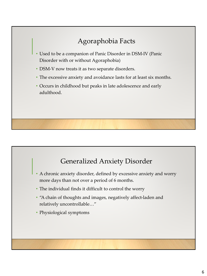# Agoraphobia Facts

- Used to be a companion of Panic Disorder in DSM-IV (Panic Disorder with or without Agoraphobia)
- DSM-V now treats it as two separate disorders.
- The excessive anxiety and avoidance lasts for at least six months.
- Occurs in childhood but peaks in late adolescence and early adulthood.

#### Generalized Anxiety Disorder

- A chronic anxiety disorder, defined by excessive anxiety and worry more days than not over a period of 6 months.
- The individual finds it difficult to control the worry
- "A chain of thoughts and images, negatively affect-laden and relatively uncontrollable…"
- Physiological symptoms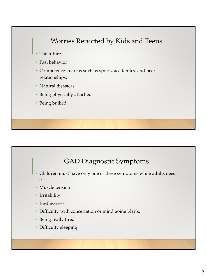## Worries Reported by Kids and Teens

- The future
- Past behavior
- Competence in areas such as sports, academics, and peer relationships.
- Natural disasters
- Being physically attached
- Being bullied

#### GAD Diagnostic Symptoms

- Children must have only one of these symptoms while adults need 3
- Muscle tension
- Irritability
- Restlessness
- Difficulty with concertation or mind going blank,
- Being really tired
- Difficulty sleeping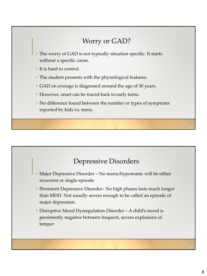## Worry or GAD?

- The worry of GAD is not typically situation specific. It starts without a specific cause.
- It is hard to control.
- The student presents with the physiological features.
- GAD on average is diagnosed around the age of 30 years.
- However, onset can be traced back to early teens.
- No difference found between the number or types of symptoms reported by kids vs. teens.

#### Depressive Disorders

- Major Depressive Disorder No manic/hypomanic will be either recurrent or single episode
- Persistent Depressive Disorder– No high phases lasts much longer than MDD. Not usually severe enough to be called an episode of major depression.
- Disruptive Mood Dysregulation Disorder A child's mood is persistently negative between frequent, severe explosions of temper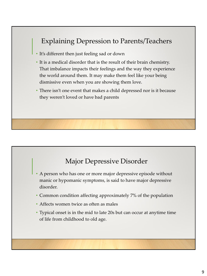## Explaining Depression to Parents/Teachers

- It's different then just feeling sad or down
- It is a medical disorder that is the result of their brain chemistry. That imbalance impacts their feelings and the way they experience the world around them. It may make them feel like your being dismissive even when you are showing them love.
- There isn't one event that makes a child depressed nor is it because they weren't loved or have bad parents

#### Major Depressive Disorder

- A person who has one or more major depressive episode without manic or hypomanic symptoms, is said to have major depressive disorder.
- Common condition affecting approximately 7% of the population
- Affects women twice as often as males
- Typical onset is in the mid to late 20s but can occur at anytime time of life from childhood to old age.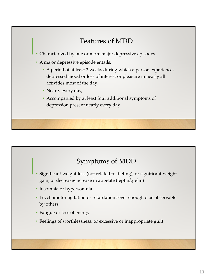## Features of MDD

- Characterized by one or more major depressive episodes
- A major depressive episode entails:
	- A period of at least 2 weeks during which a person experiences depressed mood or loss of interest or pleasure in nearly all activities most of the day,
	- Nearly every day,
	- Accompanied by at least four additional symptoms of depression present nearly every day

## Symptoms of MDD

- Significant weight loss (not related to dieting), or significant weight gain, or decrease/increase in appetite (leptin/grelin)
- Insomnia or hypersomnia
- Psychomotor agitation or retardation sever enough o be observable by others
- Fatigue or loss of energy
- Feelings of worthlessness, or excessive or inappropriate guilt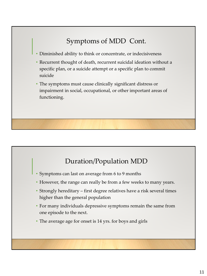# Symptoms of MDD Cont.

• Diminished ability to think or concentrate, or indecisiveness

- Recurrent thought of death, recurrent suicidal ideation without a specific plan, or a suicide attempt or a specific plan to commit suicide
- The symptoms must cause clinically significant distress or impairment in social, occupational, or other important areas of functioning.

## Duration/Population MDD

- Symptoms can last on average from 6 to 9 months
- However, the range can really be from a few weeks to many years.
- Strongly hereditary first degree relatives have a risk several times higher than the general population
- For many individuals depressive symptoms remain the same from one episode to the next.
- The average age for onset is 14 yrs. for boys and girls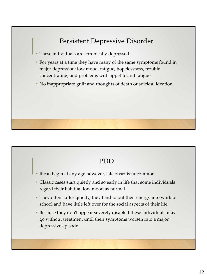## Persistent Depressive Disorder

- These individuals are chronically depressed.
- For years at a time they have many of the same symptoms found in major depression: low mood, fatigue, hopelessness, trouble concentrating, and problems with appetite and fatigue.
- No inappropriate guilt and thoughts of death or suicidal ideation.

#### PDD

- It can begin at any age however, late onset is uncommon
- Classic cases start quietly and so early in life that some individuals regard their habitual low mood as normal
- They often suffer quietly, they tend to put their energy into work or school and have little left over for the social aspects of their life.
- Because they don't appear severely disabled these individuals may go without treatment until their symptoms worsen into a major depressive episode.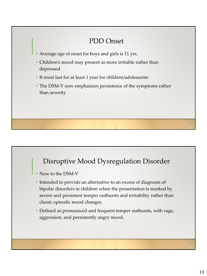#### PDD Onset

- Average age of onset for boys and girls is 11 yrs.
- Children's mood may present as more irritable rather than depressed
- It must last for at least 1 year for children/adolescents
- The DSM-V now emphasizes persistence of the symptoms rather than severity

## Disruptive Mood Dysregulation Disorder

- New to the DSM-V
- Intended to provide an alternative to an excess of diagnosis of bipolar disorders in children when the presentation is marked by severe and persistent temper outbursts and irritability rather than classic episodic mood changes.
- Defined as pronounced and frequent temper outbursts, with rage, aggression, and persistently angry mood.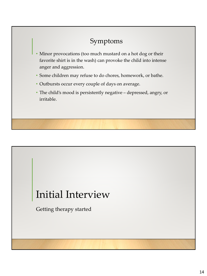## Symptoms

- Minor provocations (too much mustard on a hot dog or their favorite shirt is in the wash) can provoke the child into intense anger and aggression.
- Some children may refuse to do chores, homework, or bathe.
- Outbursts occur every couple of days on average.
- The child's mood is persistently negative depressed, angry, or irritable.

# Initial Interview

Getting therapy started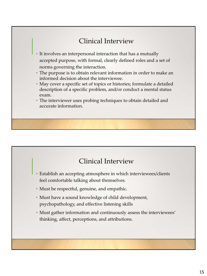## Clinical Interview

- It involves an interpersonal interaction that has a mutually accepted purpose, with formal, clearly defined roles and a set of norms governing the interaction.
- The purpose is to obtain relevant information in order to make an informed decision about the interviewee.
- May cover a specific set of topics or histories; formulate a detailed description of a specific problem, and/or conduct a mental status exam.
- The interviewer uses probing techniques to obtain detailed and accurate information.

## Clinical Interview

- Establish an accepting atmosphere in which interviewees/clients feel comfortable talking about themselves.
- Must be respectful, genuine, and empathic.
- Must have a sound knowledge of child development, psychopathology, and effective listening skills
- Must gather information and continuously assess the interviewees' thinking, affect, perceptions, and attributions.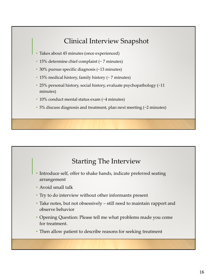## Clinical Interview Snapshot

- Takes about 45 minutes (once experienced)
- 15% determine chief complaint (~ 7 minutes)
- 30% pursue specific diagnosis (~13 minutes)
- 15% medical history, family history (~ 7 minutes)
- 25% personal history, social history, evaluate psychopathology (~11 minutes)
- 10% conduct mental status exam (~4 minutes)
- 5% discuss diagnosis and treatment, plan next meeting (~2 minutes)

#### Starting The Interview

- Introduce self, offer to shake hands, indicate preferred seating arrangement
- Avoid small talk
- Try to do interview without other informants present
- Take notes, but not obsessively still need to maintain rapport and observe behavior
- Opening Question: Please tell me what problems made you come for treatment.
- Then allow patient to describe reasons for seeking treatment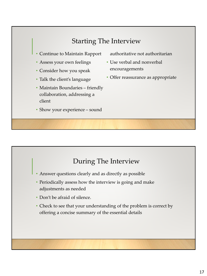# Starting The Interview

- Continue to Maintain Rapport
- Assess your own feelings
- Consider how you speak
- Talk the client's language
- Maintain Boundaries friendly collaboration, addressing a client
- Show your experience sound
- authoritative not authoritarian
- Use verbal and nonverbal encouragements
- Offer reassurance as appropriate

## During The Interview

- Answer questions clearly and as directly as possible
- Periodically assess how the interview is going and make adjustments as needed
- Don't be afraid of silence.
- Check to see that your understanding of the problem is correct by offering a concise summary of the essential details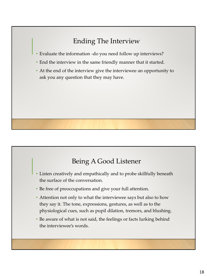# Ending The Interview

- Evaluate the information -do you need follow up interviews?
- End the interview in the same friendly manner that it started.
- At the end of the interview give the interviewee an opportunity to ask you any question that they may have.

## Being A Good Listener

- Listen creatively and empathically and to probe skillfully beneath the surface of the conversation.
- Be free of preoccupations and give your full attention.
- Attention not only to what the interviewee says but also to how they say it. The tone, expressions, gestures, as well as to the physiological cues, such as pupil dilation, tremors, and blushing.
- Be aware of what is not said, the feelings or facts lurking behind the interviewee's words.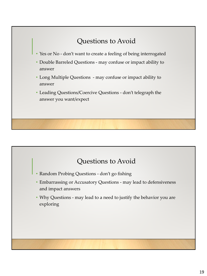# Questions to Avoid

- Yes or No don't want to create a feeling of being interrogated
- Double Barreled Questions may confuse or impact ability to answer
- Long Multiple Questions may confuse or impact ability to answer
- Leading Questions/Coercive Questions don't telegraph the answer you want/expect

#### Questions to Avoid

- Random Probing Questions don't go fishing
- Embarrassing or Accusatory Questions may lead to defensiveness and impact answers
- Why Questions may lead to a need to justify the behavior you are exploring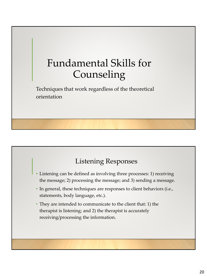# Fundamental Skills for Counseling

Techniques that work regardless of the theoretical orientation

# Listening Responses

- Listening can be defined as involving three processes: 1) receiving the message; 2) processing the message; and 3) sending a message.
- In general, these techniques are responses to client behaviors (i.e., statements, body language, etc.).
- They are intended to communicate to the client that: 1) the therapist is listening; and 2) the therapist is accurately receiving/processing the information.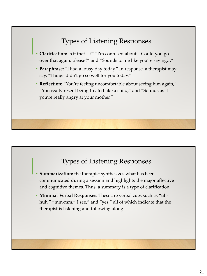## Types of Listening Responses

- **Clarification:** Is it that…?" "I'm confused about…Could you go over that again, please?" and "Sounds to me like you're saying…"
- **Paraphrase:** "I had a lousy day today." In response, a therapist may say, "Things didn't go so well for you today."
- **Reflection:** "You're feeling uncomfortable about seeing him again," "You really resent being treated like a child," and "Sounds as if you're really angry at your mother."

#### Types of Listening Responses

- **Summarization:** the therapist synthesizes what has been communicated during a session and highlights the major affective and cognitive themes. Thus, a summary is a type of clarification.
- **Minimal Verbal Responses:** These are verbal cues such as "uhhuh," "mm-mm," I see," and "yes," all of which indicate that the therapist is listening and following along.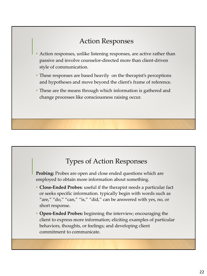## Action Responses

- Action responses, unlike listening responses, are active rather than passive and involve counselor-directed more than client-driven style of communication.
- These responses are based heavily on the therapist's perceptions and hypotheses and move beyond the client's frame of reference.
- These are the means through which information is gathered and change processes like consciousness raising occur.

## Types of Action Responses

**Probing:** Probes are open and close ended questions which are employed to obtain more information about something.

- **Close-Ended Probes**: useful if the therapist needs a particular fact or seeks specific information. typically begin with words such as "are," "do," "can," "is," "did," can be answered with yes, no, or short response.
- **Open-Ended Probes:** beginning the interview; encouraging the client to express more information; eliciting examples of particular behaviors, thoughts, or feelings; and developing client commitment to communicate.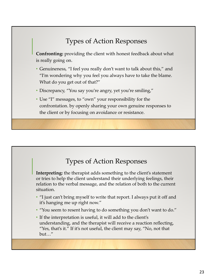## Types of Action Responses

**Confronting:** providing the client with honest feedback about what is really going on.

- Genuineness, "I feel you really don't want to talk about this," and "I'm wondering why you feel you always have to take the blame. What do you get out of that?"
- Discrepancy, "You say you're angry, yet you're smiling,"
- Use "I" messages, to "own" your responsibility for the confrontation. by openly sharing your own genuine responses to the client or by focusing on avoidance or resistance.

## Types of Action Responses

**Interpreting:** the therapist adds something to the client's statement or tries to help the client understand their underlying feelings, their relation to the verbal message, and the relation of both to the current situation.

- "I just can't bring myself to write that report. I always put it off and it's hanging me up right now."
- "You seem to resent having to do something you don't want to do."
- If the interpretation is useful, it will add to the client's understanding, and the therapist will receive a reaction reflecting, "Yes, that's it." If it's not useful, the client may say, "No, not that but…"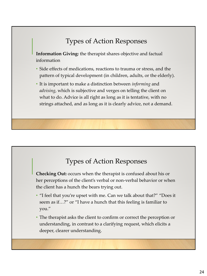## Types of Action Responses

**Information Giving:** the therapist shares objective and factual information

- Side effects of medications, reactions to trauma or stress, and the pattern of typical development (in children, adults, or the elderly).
- It is important to make a distinction between *informing* and *advising*, which is subjective and verges on telling the client on what to do. Advice is all right as long as it is tentative, with no strings attached, and as long as it is clearly advice, not a demand.

## Types of Action Responses

**Checking Out:** occurs when the therapist is confused about his or her perceptions of the client's verbal or non-verbal behavior or when the client has a hunch the bears trying out.

- "I feel that you're upset with me. Can we talk about that?" "Does it seem as if…?" or "I have a hunch that this feeling is familiar to you."
- The therapist asks the client to confirm or correct the perception or understanding, in contrast to a clarifying request, which elicits a deeper, clearer understanding.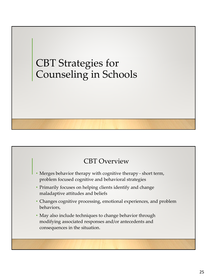# CBT Strategies for Counseling in Schools

## CBT Overview

- Merges behavior therapy with cognitive therapy short term, problem focused cognitive and behavioral strategies
- Primarily focuses on helping clients identify and change maladaptive attitudes and beliefs
- Changes cognitive processing, emotional experiences, and problem behaviors,
- May also include techniques to change behavior through modifying associated responses and/or antecedents and consequences in the situation.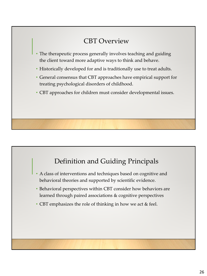## CBT Overview

- The therapeutic process generally involves teaching and guiding the client toward more adaptive ways to think and behave.
- Historically developed for and is traditionally use to treat adults.
- General consensus that CBT approaches have empirical support for treating psychological disorders of childhood.
- CBT approaches for children must consider developmental issues.

## Definition and Guiding Principals

- A class of interventions and techniques based on cognitive and behavioral theories and supported by scientific evidence.
- Behavioral perspectives within CBT consider how behaviors are learned through paired associations & cognitive perspectives
- CBT emphasizes the role of thinking in how we act & feel.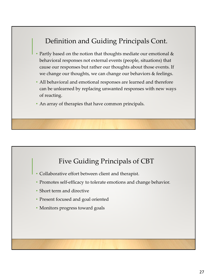## Definition and Guiding Principals Cont.

- Partly based on the notion that thoughts mediate our emotional & behavioral responses not external events (people, situations) that cause our responses but rather our thoughts about those events. If we change our thoughts, we can change our behaviors & feelings.
- All behavioral and emotional responses are learned and therefore can be unlearned by replacing unwanted responses with new ways of reacting.
- An array of therapies that have common principals.

#### Five Guiding Principals of CBT

- Collaborative effort between client and therapist.
- Promotes self-efficacy to tolerate emotions and change behavior.
- Short term and directive
- Present focused and goal oriented
- Monitors progress toward goals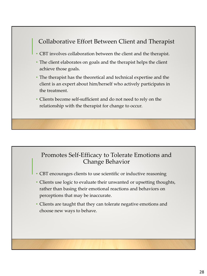#### Collaborative Effort Between Client and Therapist

- CBT involves collaboration between the client and the therapist.
- The client elaborates on goals and the therapist helps the client achieve those goals.
- The therapist has the theoretical and technical expertise and the client is an expert about him/herself who actively participates in the treatment.
- Clients become self-sufficient and do not need to rely on the relationship with the therapist for change to occur.

#### Promotes Self-Efficacy to Tolerate Emotions and Change Behavior

- CBT encourages clients to use scientific or inductive reasoning
- Clients use logic to evaluate their unwanted or upsetting thoughts, rather than basing their emotional reactions and behaviors on perceptions that may be inaccurate.
- Clients are taught that they can tolerate negative emotions and choose new ways to behave.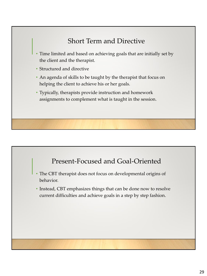## Short Term and Directive

- Time limited and based on achieving goals that are initially set by the client and the therapist.
- Structured and directive
- An agenda of skills to be taught by the therapist that focus on helping the client to achieve his or her goals.
- Typically, therapists provide instruction and homework assignments to complement what is taught in the session.

#### Present-Focused and Goal-Oriented

- The CBT therapist does not focus on developmental origins of behavior.
- Instead, CBT emphasizes things that can be done now to resolve current difficulties and achieve goals in a step by step fashion.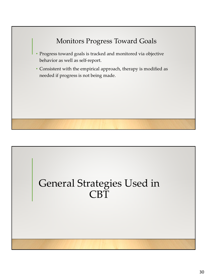

# General Strategies Used in CBT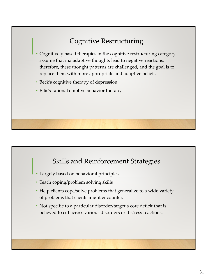# Cognitive Restructuring

- Cognitively based therapies in the cognitive restructuring category assume that maladaptive thoughts lead to negative reactions; therefore, these thought patterns are challenged, and the goal is to replace them with more appropriate and adaptive beliefs.
- Beck's cognitive therapy of depression
- Ellis's rational emotive behavior therapy

#### Skills and Reinforcement Strategies

- Largely based on behavioral principles
- Teach coping/problem solving skills
- Help clients cope/solve problems that generalize to a wide variety of problems that clients might encounter.
- Not specific to a particular disorder/target a core deficit that is believed to cut across various disorders or distress reactions.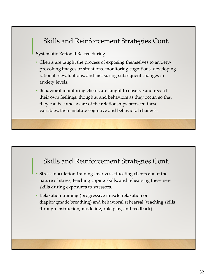## Skills and Reinforcement Strategies Cont.

Systematic Rational Restructuring

- Clients are taught the process of exposing themselves to anxietyprovoking images or situations, monitoring cognitions, developing rational reevaluations, and measuring subsequent changes in anxiety levels.
- Behavioral monitoring clients are taught to observe and record their own feelings, thoughts, and behaviors as they occur, so that they can become aware of the relationships between these variables, then institute cognitive and behavioral changes.

#### Skills and Reinforcement Strategies Cont.

- Stress inoculation training involves educating clients about the nature of stress, teaching coping skills, and rehearsing these new skills during exposures to stressors.
- Relaxation training (progressive muscle relaxation or diaphragmatic breathing) and behavioral rehearsal (teaching skills through instruction, modeling, role play, and feedback).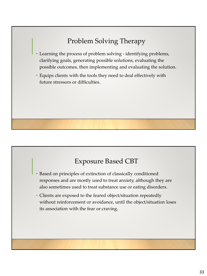# Problem Solving Therapy

- Learning the process of problem solving identifying problems, clarifying goals, generating possible solutions, evaluating the possible outcomes, then implementing and evaluating the solution.
- Equips clients with the tools they need to deal effectively with future stressors or difficulties.

#### Exposure Based CBT

- Based on principles of extinction of classically conditioned responses and are mostly used to treat anxiety, although they are also sometimes used to treat substance use or eating disorders.
- Clients are exposed to the feared object/situation repeatedly without reinforcement or avoidance, until the object/situation loses its association with the fear or craving.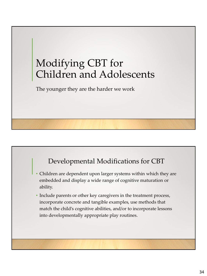# Modifying CBT for Children and Adolescents

The younger they are the harder we work

## Developmental Modifications for CBT

- Children are dependent upon larger systems within which they are embedded and display a wide range of cognitive maturation or ability.
- Include parents or other key caregivers in the treatment process, incorporate concrete and tangible examples, use methods that match the child's cognitive abilities, and/or to incorporate lessons into developmentally appropriate play routines.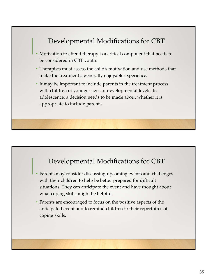## Developmental Modifications for CBT

- Motivation to attend therapy is a critical component that needs to be considered in CBT youth.
- Therapists must assess the child's motivation and use methods that make the treatment a generally enjoyable experience.
- It may be important to include parents in the treatment process with children of younger ages or developmental levels. In adolescence, a decision needs to be made about whether it is appropriate to include parents.

#### Developmental Modifications for CBT

- Parents may consider discussing upcoming events and challenges with their children to help be better prepared for difficult situations. They can anticipate the event and have thought about what coping skills might be helpful.
- Parents are encouraged to focus on the positive aspects of the anticipated event and to remind children to their repertoires of coping skills.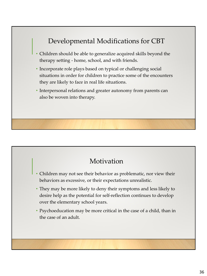## Developmental Modifications for CBT

- Children should be able to generalize acquired skills beyond the therapy setting - home, school, and with friends.
- Incorporate role plays based on typical or challenging social situations in order for children to practice some of the encounters they are likely to face in real life situations.
- Interpersonal relations and greater autonomy from parents can also be woven into therapy.

#### **Motivation**

- Children may not see their behavior as problematic, nor view their behaviors as excessive, or their expectations unrealistic.
- They may be more likely to deny their symptoms and less likely to desire help as the potential for self-reflection continues to develop over the elementary school years.
- Psychoeducation may be more critical in the case of a child, than in the case of an adult.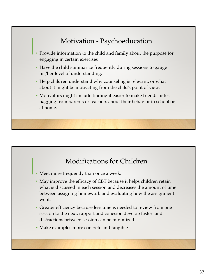## Motivation - Psychoeducation

- Provide information to the child and family about the purpose for engaging in certain exercises
- Have the child summarize frequently during sessions to gauge his/her level of understanding.
- Help children understand why counseling is relevant, or what about it might be motivating from the child's point of view.
- Motivators might include finding it easier to make friends or less nagging from parents or teachers about their behavior in school or at home.

#### Modifications for Children

- Meet more frequently than once a week.
- May improve the efficacy of CBT because it helps children retain what is discussed in each session and decreases the amount of time between assigning homework and evaluating how the assignment went.
- Greater efficiency because less time is needed to review from one session to the next, rapport and cohesion develop faster and distractions between session can be minimized.
- Make examples more concrete and tangible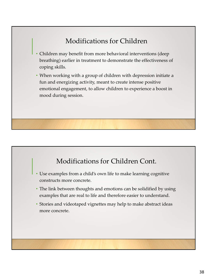## Modifications for Children

- Children may benefit from more behavioral interventions (deep breathing) earlier in treatment to demonstrate the effectiveness of coping skills.
- When working with a group of children with depression initiate a fun and energizing activity, meant to create intense positive emotional engagement, to allow children to experience a boost in mood during session.

#### Modifications for Children Cont.

- Use examples from a child's own life to make learning cognitive constructs more concrete.
- The link between thoughts and emotions can be solidified by using examples that are real to life and therefore easier to understand.
- Stories and videotaped vignettes may help to make abstract ideas more concrete.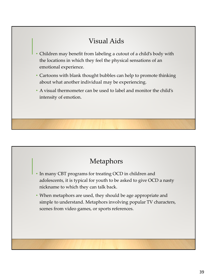## Visual Aids

- Children may benefit from labeling a cutout of a child's body with the locations in which they feel the physical sensations of an emotional experience.
- Cartoons with blank thought bubbles can help to promote thinking about what another individual may be experiencing.
- A visual thermometer can be used to label and monitor the child's intensity of emotion.

## Metaphors

- In many CBT programs for treating OCD in children and adolescents, it is typical for youth to be asked to give OCD a nasty nickname to which they can talk back.
- When metaphors are used, they should be age appropriate and simple to understand. Metaphors involving popular TV characters, scenes from video games, or sports references.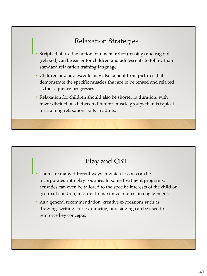## Relaxation Strategies

- Scripts that use the notion of a metal robot (tensing) and rag doll (relaxed) can be easier for children and adolescents to follow than standard relaxation training language.
- Children and adolescents may also benefit from pictures that demonstrate the specific muscles that are to be tensed and relaxed as the sequence progresses.
- Relaxation for children should also be shorter in duration, with fewer distinctions between different muscle groups than is typical for training relaxation skills in adults.

## Play and CBT

- There are many different ways in which lessons can be incorporated into play routines. In some treatment programs, activities can even be tailored to the specific interests of the child or group of children, in order to maximize interest in engagement.
- As a general recommendation, creative expressions such as drawing, writing stories, dancing, and singing can be used to reinforce key concepts.